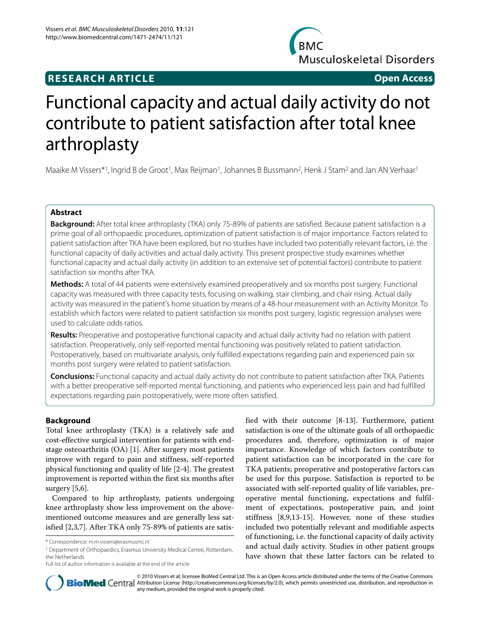## **RESEARCH ARTICLE Open Access**



# Functional capacity and actual daily activity do not contribute to patient satisfaction after total knee arthroplasty

Maaike M Vissers\*1, Ingrid B de Groot1, Max Reijman1, Johannes B Bussmann<sup>2</sup>, Henk J Stam<sup>2</sup> and Jan AN Verhaar1

## **Abstract**

**Background:** After total knee arthroplasty (TKA) only 75-89% of patients are satisfied. Because patient satisfaction is a prime goal of all orthopaedic procedures, optimization of patient satisfaction is of major importance. Factors related to patient satisfaction after TKA have been explored, but no studies have included two potentially relevant factors, i.e. the functional capacity of daily activities and actual daily activity. This present prospective study examines whether functional capacity and actual daily activity (in addition to an extensive set of potential factors) contribute to patient satisfaction six months after TKA.

**Methods:** A total of 44 patients were extensively examined preoperatively and six months post surgery. Functional capacity was measured with three capacity tests, focusing on walking, stair climbing, and chair rising. Actual daily activity was measured in the patient's home situation by means of a 48-hour measurement with an Activity Monitor. To establish which factors were related to patient satisfaction six months post surgery, logistic regression analyses were used to calculate odds ratios.

**Results:** Preoperative and postoperative functional capacity and actual daily activity had no relation with patient satisfaction. Preoperatively, only self-reported mental functioning was positively related to patient satisfaction. Postoperatively, based on multivariate analysis, only fulfilled expectations regarding pain and experienced pain six months post surgery were related to patient satisfaction.

**Conclusions:** Functional capacity and actual daily activity do not contribute to patient satisfaction after TKA. Patients with a better preoperative self-reported mental functioning, and patients who experienced less pain and had fulfilled expectations regarding pain postoperatively, were more often satisfied.

## **Background**

Total knee arthroplasty (TKA) is a relatively safe and cost-effective surgical intervention for patients with endstage osteoarthritis (OA) [[1\]](#page-6-0). After surgery most patients improve with regard to pain and stiffness, self-reported physical functioning and quality of life [[2](#page-6-1)-[4\]](#page-6-2). The greatest improvement is reported within the first six months after surgery [[5,](#page-7-0)[6\]](#page-7-1).

Compared to hip arthroplasty, patients undergoing knee arthroplasty show less improvement on the abovementioned outcome measures and are generally less satisfied [[2,](#page-6-1)[3](#page-6-3)[,7](#page-7-2)]. After TKA only 75-89% of patients are satisfied with their outcome [[8](#page-7-3)[-13](#page-7-4)]. Furthermore, patient satisfaction is one of the ultimate goals of all orthopaedic procedures and, therefore, optimization is of major importance. Knowledge of which factors contribute to patient satisfaction can be incorporated in the care for TKA patients; preoperative and postoperative factors can be used for this purpose. Satisfaction is reported to be associated with self-reported quality of life variables, preoperative mental functioning, expectations and fulfilment of expectations, postoperative pain, and joint stiffness [\[8](#page-7-3),[9,](#page-7-5)[13-](#page-7-4)[15](#page-7-6)]. However, none of these studies included two potentially relevant and modifiable aspects of functioning, i.e. the functional capacity of daily activity and actual daily activity. Studies in other patient groups have shown that these latter factors can be related to



© 2010 Vissers et al; licensee BioMed Central Ltd. This is an Open Access article distributed under the terms of the Creative Commons **BioMed** Central Attribution License (http://creativecommons.org/licenses/by/2.0), which permits unrestricted use, distribution, and reproduction in any medium, provided the original work is properly cited.

<sup>\*</sup> Correspondence: m.m.vissers@erasmusmc.nl

<sup>&</sup>lt;sup>1</sup> Department of Orthopaedics, Erasmus University Medical Centre, Rotterdam, the Netherlands

Full list of author information is available at the end of the article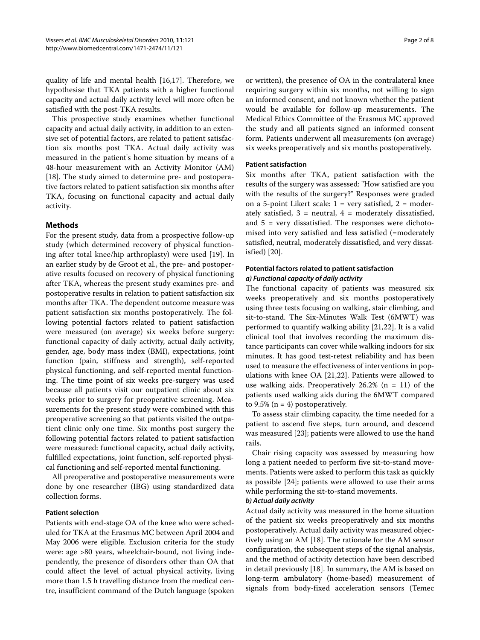quality of life and mental health [\[16](#page-7-7)[,17\]](#page-7-8). Therefore, we hypothesise that TKA patients with a higher functional capacity and actual daily activity level will more often be satisfied with the post-TKA results.

This prospective study examines whether functional capacity and actual daily activity, in addition to an extensive set of potential factors, are related to patient satisfaction six months post TKA. Actual daily activity was measured in the patient's home situation by means of a 48-hour measurement with an Activity Monitor (AM) [[18\]](#page-7-9). The study aimed to determine pre- and postoperative factors related to patient satisfaction six months after TKA, focusing on functional capacity and actual daily activity.

#### **Methods**

For the present study, data from a prospective follow-up study (which determined recovery of physical functioning after total knee/hip arthroplasty) were used [[19\]](#page-7-10). In an earlier study by de Groot et al., the pre- and postoperative results focused on recovery of physical functioning after TKA, whereas the present study examines pre- and postoperative results in relation to patient satisfaction six months after TKA. The dependent outcome measure was patient satisfaction six months postoperatively. The following potential factors related to patient satisfaction were measured (on average) six weeks before surgery: functional capacity of daily activity, actual daily activity, gender, age, body mass index (BMI), expectations, joint function (pain, stiffness and strength), self-reported physical functioning, and self-reported mental functioning. The time point of six weeks pre-surgery was used because all patients visit our outpatient clinic about six weeks prior to surgery for preoperative screening. Measurements for the present study were combined with this preoperative screening so that patients visited the outpatient clinic only one time. Six months post surgery the following potential factors related to patient satisfaction were measured: functional capacity, actual daily activity, fulfilled expectations, joint function, self-reported physical functioning and self-reported mental functioning.

All preoperative and postoperative measurements were done by one researcher (IBG) using standardized data collection forms.

## **Patient selection**

Patients with end-stage OA of the knee who were scheduled for TKA at the Erasmus MC between April 2004 and May 2006 were eligible. Exclusion criteria for the study were: age >80 years, wheelchair-bound, not living independently, the presence of disorders other than OA that could affect the level of actual physical activity, living more than 1.5 h travelling distance from the medical centre, insufficient command of the Dutch language (spoken

or written), the presence of OA in the contralateral knee requiring surgery within six months, not willing to sign an informed consent, and not known whether the patient would be available for follow-up measurements. The Medical Ethics Committee of the Erasmus MC approved the study and all patients signed an informed consent form. Patients underwent all measurements (on average) six weeks preoperatively and six months postoperatively.

#### **Patient satisfaction**

Six months after TKA, patient satisfaction with the results of the surgery was assessed: "How satisfied are you with the results of the surgery?" Responses were graded on a 5-point Likert scale: 1 = very satisfied, 2 = moderately satisfied,  $3$  = neutral,  $4$  = moderately dissatisfied, and  $5$  = very dissatisfied. The responses were dichotomised into very satisfied and less satisfied (=moderately satisfied, neutral, moderately dissatisfied, and very dissatisfied) [\[20](#page-7-11)].

#### **Potential factors related to patient satisfaction a) Functional capacity of daily activity**

The functional capacity of patients was measured six weeks preoperatively and six months postoperatively using three tests focusing on walking, stair climbing, and sit-to-stand. The Six-Minutes Walk Test (6MWT) was performed to quantify walking ability [[21,](#page-7-12)[22\]](#page-7-13). It is a valid clinical tool that involves recording the maximum distance participants can cover while walking indoors for six minutes. It has good test-retest reliability and has been used to measure the effectiveness of interventions in populations with knee OA [[21,](#page-7-12)[22\]](#page-7-13). Patients were allowed to use walking aids. Preoperatively  $26.2\%$  (n = 11) of the patients used walking aids during the 6MWT compared to 9.5% ( $n = 4$ ) postoperatively.

To assess stair climbing capacity, the time needed for a patient to ascend five steps, turn around, and descend was measured [\[23\]](#page-7-14); patients were allowed to use the hand rails.

Chair rising capacity was assessed by measuring how long a patient needed to perform five sit-to-stand movements. Patients were asked to perform this task as quickly as possible [[24\]](#page-7-15); patients were allowed to use their arms while performing the sit-to-stand movements.

#### **b) Actual daily activity**

Actual daily activity was measured in the home situation of the patient six weeks preoperatively and six months postoperatively. Actual daily activity was measured objectively using an AM [\[18\]](#page-7-9). The rationale for the AM sensor configuration, the subsequent steps of the signal analysis, and the method of activity detection have been described in detail previously [[18\]](#page-7-9). In summary, the AM is based on long-term ambulatory (home-based) measurement of signals from body-fixed acceleration sensors (Temec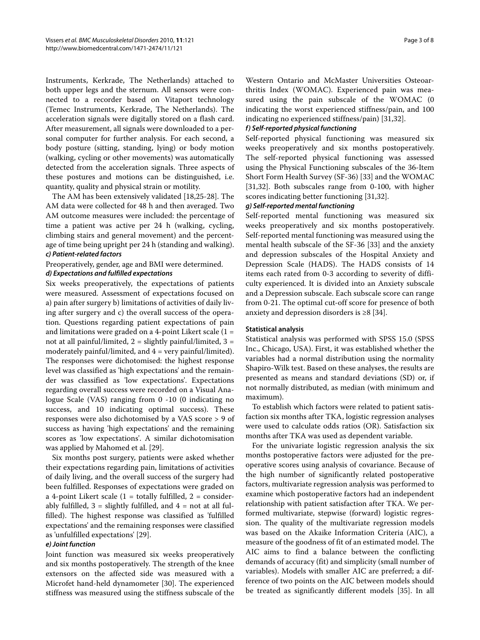Instruments, Kerkrade, The Netherlands) attached to both upper legs and the sternum. All sensors were connected to a recorder based on Vitaport technology (Temec Instruments, Kerkrade, The Netherlands). The acceleration signals were digitally stored on a flash card. After measurement, all signals were downloaded to a personal computer for further analysis. For each second, a body posture (sitting, standing, lying) or body motion (walking, cycling or other movements) was automatically detected from the acceleration signals. Three aspects of these postures and motions can be distinguished, i.e. quantity, quality and physical strain or motility.

The AM has been extensively validated [[18,](#page-7-9)[25](#page-7-16)[-28](#page-7-17)]. The AM data were collected for 48 h and then averaged. Two AM outcome measures were included: the percentage of time a patient was active per 24 h (walking, cycling, climbing stairs and general movement) and the percentage of time being upright per 24 h (standing and walking). **c) Patient-related factors**

## Preoperatively, gender, age and BMI were determined. **d) Expectations and fulfilled expectations**

Six weeks preoperatively, the expectations of patients were measured. Assessment of expectations focused on a) pain after surgery b) limitations of activities of daily living after surgery and c) the overall success of the operation. Questions regarding patient expectations of pain and limitations were graded on a 4-point Likert scale (1 = not at all painful/limited,  $2 =$  slightly painful/limited,  $3 =$ moderately painful/limited, and  $4 = \text{very painful/limited)}$ . The responses were dichotomised: the highest response level was classified as 'high expectations' and the remainder was classified as 'low expectations'. Expectations regarding overall success were recorded on a Visual Analogue Scale (VAS) ranging from 0 -10 (0 indicating no success, and 10 indicating optimal success). These responses were also dichotomised by a VAS score > 9 of success as having 'high expectations' and the remaining scores as 'low expectations'. A similar dichotomisation was applied by Mahomed et al. [[29\]](#page-7-18).

Six months post surgery, patients were asked whether their expectations regarding pain, limitations of activities of daily living, and the overall success of the surgery had been fulfilled. Responses of expectations were graded on a 4-point Likert scale  $(1 =$  totally fulfilled,  $2 =$  considerably fulfilled,  $3 =$  slightly fulfilled, and  $4 =$  not at all fulfilled). The highest response was classified as 'fulfilled expectations' and the remaining responses were classified as 'unfulfilled expectations' [\[29](#page-7-18)].

#### **e) Joint function**

Joint function was measured six weeks preoperatively and six months postoperatively. The strength of the knee extensors on the affected side was measured with a Microfet hand-held dynamometer [[30](#page-7-19)]. The experienced stiffness was measured using the stiffness subscale of the

Western Ontario and McMaster Universities Osteoarthritis Index (WOMAC). Experienced pain was measured using the pain subscale of the WOMAC (0 indicating the worst experienced stiffness/pain, and 100 indicating no experienced stiffness/pain) [\[31](#page-7-20)[,32](#page-7-21)].

## **f) Self-reported physical functioning**

Self-reported physical functioning was measured six weeks preoperatively and six months postoperatively. The self-reported physical functioning was assessed using the Physical Functioning subscales of the 36-Item Short Form Health Survey (SF-36) [[33\]](#page-7-22) and the WOMAC [[31,](#page-7-20)[32\]](#page-7-21). Both subscales range from 0-100, with higher scores indicating better functioning [\[31](#page-7-20)[,32](#page-7-21)].

#### **g) Self-reported mental functioning**

Self-reported mental functioning was measured six weeks preoperatively and six months postoperatively. Self-reported mental functioning was measured using the mental health subscale of the SF-36 [[33\]](#page-7-22) and the anxiety and depression subscales of the Hospital Anxiety and Depression Scale (HADS). The HADS consists of 14 items each rated from 0-3 according to severity of difficulty experienced. It is divided into an Anxiety subscale and a Depression subscale. Each subscale score can range from 0-21. The optimal cut-off score for presence of both anxiety and depression disorders is ≥8 [\[34](#page-7-23)].

#### **Statistical analysis**

Statistical analysis was performed with SPSS 15.0 (SPSS Inc., Chicago, USA). First, it was established whether the variables had a normal distribution using the normality Shapiro-Wilk test. Based on these analyses, the results are presented as means and standard deviations (SD) or, if not normally distributed, as median (with minimum and maximum).

To establish which factors were related to patient satisfaction six months after TKA, logistic regression analyses were used to calculate odds ratios (OR). Satisfaction six months after TKA was used as dependent variable.

For the univariate logistic regression analysis the six months postoperative factors were adjusted for the preoperative scores using analysis of covariance. Because of the high number of significantly related postoperative factors, multivariate regression analysis was performed to examine which postoperative factors had an independent relationship with patient satisfaction after TKA. We performed multivariate, stepwise (forward) logistic regression. The quality of the multivariate regression models was based on the Akaike Information Criteria (AIC), a measure of the goodness of fit of an estimated model. The AIC aims to find a balance between the conflicting demands of accuracy (fit) and simplicity (small number of variables). Models with smaller AIC are preferred; a difference of two points on the AIC between models should be treated as significantly different models [\[35\]](#page-7-24). In all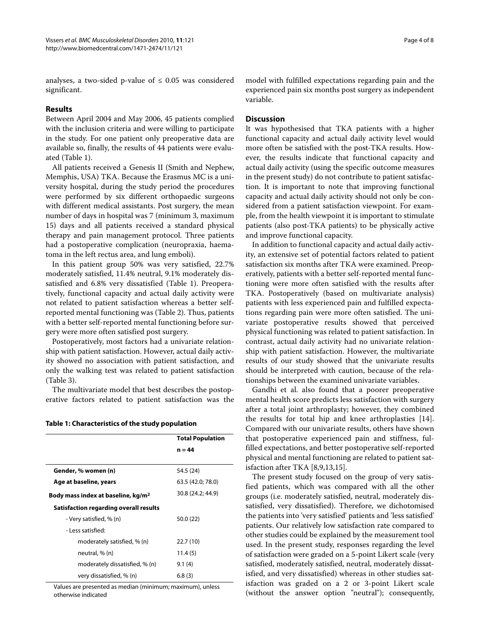analyses, a two-sided p-value of  $\leq 0.05$  was considered significant.

#### **Results**

Between April 2004 and May 2006, 45 patients complied with the inclusion criteria and were willing to participate in the study. For one patient only preoperative data are available so, finally, the results of 44 patients were evaluated (Table 1).

All patients received a Genesis II (Smith and Nephew, Memphis, USA) TKA. Because the Erasmus MC is a university hospital, during the study period the procedures were performed by six different orthopaedic surgeons with different medical assistants. Post surgery, the mean number of days in hospital was 7 (minimum 3, maximum 15) days and all patients received a standard physical therapy and pain management protocol. Three patients had a postoperative complication (neuropraxia, haematoma in the left rectus area, and lung emboli).

In this patient group 50% was very satisfied, 22.7% moderately satisfied, 11.4% neutral, 9.1% moderately dissatisfied and 6.8% very dissatisfied (Table 1). Preoperatively, functional capacity and actual daily activity were not related to patient satisfaction whereas a better selfreported mental functioning was (Table 2). Thus, patients with a better self-reported mental functioning before surgery were more often satisfied post surgery.

Postoperatively, most factors had a univariate relationship with patient satisfaction. However, actual daily activity showed no association with patient satisfaction, and only the walking test was related to patient satisfaction (Table 3).

The multivariate model that best describes the postoperative factors related to patient satisfaction was the

**Table 1: Characteristics of the study population**

|                                                | <b>Total Population</b> |  |
|------------------------------------------------|-------------------------|--|
|                                                | $n = 44$                |  |
|                                                |                         |  |
| Gender, % women (n)                            | 54.5 (24)               |  |
| Age at baseline, years                         | 63.5 (42.0; 78.0)       |  |
| Body mass index at baseline, kg/m <sup>2</sup> | 30.8 (24.2; 44.9)       |  |
| Satisfaction regarding overall results         |                         |  |
| - Very satisfied, % (n)                        | 50.0 (22)               |  |
| - Less satisfied:                              |                         |  |
| moderately satisfied, % (n)                    | 22.7(10)                |  |
| neutral, % (n)                                 | 11.4 (5)                |  |
| moderately dissatisfied, % (n)                 | 9.1 (4)                 |  |
| very dissatisfied, % (n)                       | 6.8(3)                  |  |
|                                                |                         |  |

Values are presented as median (minimum; maximum), unless otherwise indicated

model with fulfilled expectations regarding pain and the experienced pain six months post surgery as independent variable.

#### **Discussion**

It was hypothesised that TKA patients with a higher functional capacity and actual daily activity level would more often be satisfied with the post-TKA results. However, the results indicate that functional capacity and actual daily activity (using the specific outcome measures in the present study) do not contribute to patient satisfaction. It is important to note that improving functional capacity and actual daily activity should not only be considered from a patient satisfaction viewpoint. For example, from the health viewpoint it is important to stimulate patients (also post-TKA patients) to be physically active and improve functional capacity.

In addition to functional capacity and actual daily activity, an extensive set of potential factors related to patient satisfaction six months after TKA were examined. Preoperatively, patients with a better self-reported mental functioning were more often satisfied with the results after TKA. Postoperatively (based on multivariate analysis) patients with less experienced pain and fulfilled expectations regarding pain were more often satisfied. The univariate postoperative results showed that perceived physical functioning was related to patient satisfaction. In contrast, actual daily activity had no univariate relationship with patient satisfaction. However, the multivariate results of our study showed that the univariate results should be interpreted with caution, because of the relationships between the examined univariate variables.

Gandhi et al. also found that a poorer preoperative mental health score predicts less satisfaction with surgery after a total joint arthroplasty; however, they combined the results for total hip and knee arthroplasties [\[14](#page-7-25)]. Compared with our univariate results, others have shown that postoperative experienced pain and stiffness, fulfilled expectations, and better postoperative self-reported physical and mental functioning are related to patient satisfaction after TKA [[8](#page-7-3)[,9](#page-7-5)[,13](#page-7-4)[,15](#page-7-6)].

The present study focused on the group of very satisfied patients, which was compared with all the other groups (i.e. moderately satisfied, neutral, moderately dissatisfied, very dissatisfied). Therefore, we dichotomised the patients into 'very satisfied' patients and 'less satisfied' patients. Our relatively low satisfaction rate compared to other studies could be explained by the measurement tool used. In the present study, responses regarding the level of satisfaction were graded on a 5-point Likert scale (very satisfied, moderately satisfied, neutral, moderately dissatisfied, and very dissatisfied) whereas in other studies satisfaction was graded on a 2 or 3-point Likert scale (without the answer option "neutral"); consequently,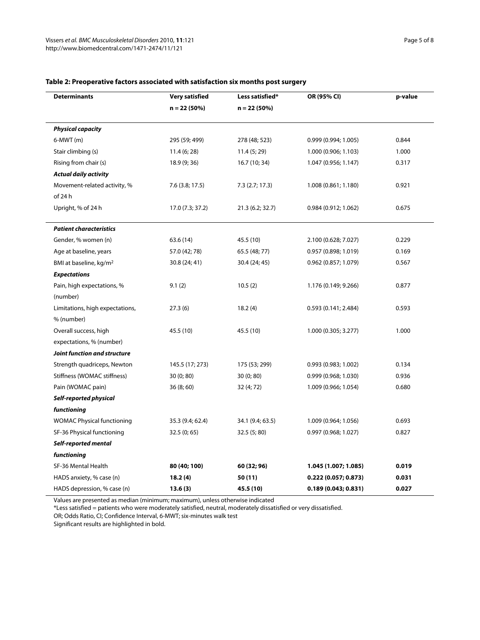| <b>Determinants</b>                | <b>Very satisfied</b> | Less satisfied*  | OR (95% CI)          | p-value |
|------------------------------------|-----------------------|------------------|----------------------|---------|
|                                    | $n = 22(50%)$         | $n = 22(50\%)$   |                      |         |
| <b>Physical capacity</b>           |                       |                  |                      |         |
| $6-MWT(m)$                         | 295 (59; 499)         | 278 (48; 523)    | 0.999(0.994; 1.005)  | 0.844   |
| Stair climbing (s)                 | 11.4(6;28)            | 11.4(5; 29)      | 1.000 (0.906; 1.103) | 1.000   |
| Rising from chair (s)              | 18.9 (9; 36)          | 16.7 (10; 34)    | 1.047 (0.956; 1.147) | 0.317   |
| <b>Actual daily activity</b>       |                       |                  |                      |         |
| Movement-related activity, %       | $7.6$ (3.8; 17.5)     | 7.3 (2.7; 17.3)  | 1.008 (0.861; 1.180) | 0.921   |
| of 24 h                            |                       |                  |                      |         |
| Upright, % of 24 h                 | 17.0 (7.3; 37.2)      | 21.3 (6.2; 32.7) | 0.984 (0.912; 1.062) | 0.675   |
| <b>Patient characteristics</b>     |                       |                  |                      |         |
| Gender, % women (n)                | 63.6 (14)             | 45.5 (10)        | 2.100 (0.628; 7.027) | 0.229   |
| Age at baseline, years             | 57.0 (42; 78)         | 65.5 (48; 77)    | 0.957 (0.898; 1.019) | 0.169   |
| BMI at baseline, kg/m <sup>2</sup> | 30.8 (24; 41)         | 30.4 (24; 45)    | 0.962 (0.857; 1.079) | 0.567   |
| <b>Expectations</b>                |                       |                  |                      |         |
| Pain, high expectations, %         | 9.1(2)                | 10.5(2)          | 1.176 (0.149; 9.266) | 0.877   |
| (number)                           |                       |                  |                      |         |
| Limitations, high expectations,    | 27.3(6)               | 18.2(4)          | 0.593(0.141; 2.484)  | 0.593   |
| % (number)                         |                       |                  |                      |         |
| Overall success, high              | 45.5 (10)             | 45.5 (10)        | 1.000 (0.305; 3.277) | 1.000   |
| expectations, % (number)           |                       |                  |                      |         |
| Joint function and structure       |                       |                  |                      |         |
| Strength quadriceps, Newton        | 145.5 (17; 273)       | 175 (53; 299)    | 0.993 (0.983; 1.002) | 0.134   |
| Stiffness (WOMAC stiffness)        | 30(0; 80)             | 30(0;80)         | 0.999(0.968; 1.030)  | 0.936   |
| Pain (WOMAC pain)                  | 36(8;60)              | 32 (4; 72)       | 1.009 (0.966; 1.054) | 0.680   |
| Self-reported physical             |                       |                  |                      |         |
| functioning                        |                       |                  |                      |         |
| <b>WOMAC Physical functioning</b>  | 35.3 (9.4; 62.4)      | 34.1 (9.4; 63.5) | 1.009 (0.964; 1.056) | 0.693   |
| SF-36 Physical functioning         | 32.5(0; 65)           | 32.5 (5; 80)     | 0.997 (0.968; 1.027) | 0.827   |
| Self-reported mental               |                       |                  |                      |         |
| functioning                        |                       |                  |                      |         |
| SF-36 Mental Health                | 80 (40; 100)          | 60 (32; 96)      | 1.045 (1.007; 1.085) | 0.019   |
| HADS anxiety, % case (n)           | 18.2(4)               | 50 (11)          | 0.222(0.057; 0.873)  | 0.031   |
| HADS depression, % case (n)        | 13.6(3)               | 45.5 (10)        | 0.189(0.043; 0.831)  | 0.027   |

## **Table 2: Preoperative factors associated with satisfaction six months post surgery**

Values are presented as median (minimum; maximum), unless otherwise indicated

\*Less satisfied = patients who were moderately satisfied, neutral, moderately dissatisfied or very dissatisfied.

OR; Odds Ratio, CI; Confidence Interval, 6-MWT; six-minutes walk test

Significant results are highlighted in bold.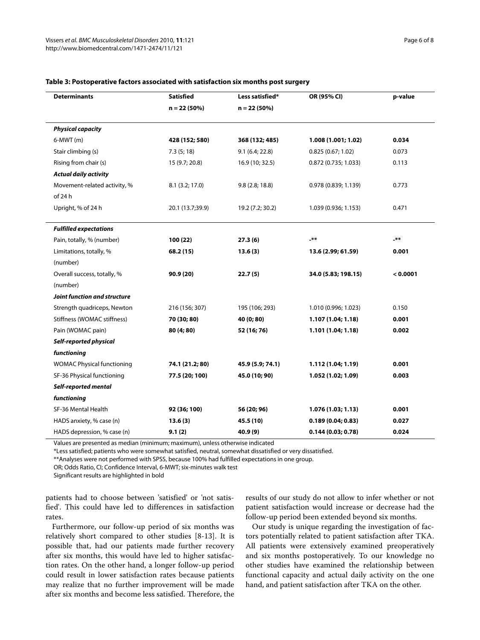| <b>Determinants</b>               | <b>Satisfied</b>  | Less satisfied*  | OR (95% CI)          | p-value  |
|-----------------------------------|-------------------|------------------|----------------------|----------|
|                                   | $n = 22(50%)$     | $n = 22(50%)$    |                      |          |
| <b>Physical capacity</b>          |                   |                  |                      |          |
| $6-MWT(m)$                        | 428 (152; 580)    | 368 (132; 485)   | 1.008 (1.001; 1.02)  | 0.034    |
| Stair climbing (s)                | 7.3(5;18)         | 9.1(6.4; 22.8)   | 0.825(0.67; 1.02)    | 0.073    |
| Rising from chair (s)             | 15 (9.7; 20.8)    | 16.9 (10; 32.5)  | 0.872 (0.735; 1.033) | 0.113    |
| <b>Actual daily activity</b>      |                   |                  |                      |          |
| Movement-related activity, %      | $8.1$ (3.2; 17.0) | 9.8(2.8; 18.8)   | 0.978 (0.839; 1.139) | 0.773    |
| of 24 h                           |                   |                  |                      |          |
| Upright, % of 24 h                | 20.1 (13.7;39.9)  | 19.2 (7.2; 30.2) | 1.039 (0.936; 1.153) | 0.471    |
| <b>Fulfilled expectations</b>     |                   |                  |                      |          |
| Pain, totally, % (number)         | 100(22)           | 27.3(6)          | $***$                | $***$    |
| Limitations, totally, %           | 68.2 (15)         | 13.6(3)          | 13.6 (2.99; 61.59)   | 0.001    |
| (number)                          |                   |                  |                      |          |
| Overall success, totally, %       | 90.9(20)          | 22.7(5)          | 34.0 (5.83; 198.15)  | < 0.0001 |
| (number)                          |                   |                  |                      |          |
| Joint function and structure      |                   |                  |                      |          |
| Strength quadriceps, Newton       | 216 (156; 307)    | 195 (106; 293)   | 1.010 (0.996; 1.023) | 0.150    |
| Stiffness (WOMAC stiffness)       | 70 (30; 80)       | 40 (0; 80)       | 1.107(1.04; 1.18)    | 0.001    |
| Pain (WOMAC pain)                 | 80 (4; 80)        | 52 (16; 76)      | 1.101(1.04; 1.18)    | 0.002    |
| Self-reported physical            |                   |                  |                      |          |
| functioning                       |                   |                  |                      |          |
| <b>WOMAC Physical functioning</b> | 74.1 (21.2; 80)   | 45.9 (5.9; 74.1) | 1.112(1.04; 1.19)    | 0.001    |
| SF-36 Physical functioning        | 77.5 (20; 100)    | 45.0 (10; 90)    | 1.052 (1.02; 1.09)   | 0.003    |
| Self-reported mental              |                   |                  |                      |          |
| functioning                       |                   |                  |                      |          |
| SF-36 Mental Health               | 92 (36; 100)      | 56 (20; 96)      | 1.076(1.03; 1.13)    | 0.001    |
| HADS anxiety, % case (n)          | 13.6(3)           | 45.5 (10)        | 0.189(0.04; 0.83)    | 0.027    |
| HADS depression, % case (n)       | 9.1(2)            | 40.9(9)          | 0.144(0.03; 0.78)    | 0.024    |

## **Table 3: Postoperative factors associated with satisfaction six months post surgery**

Values are presented as median (minimum; maximum), unless otherwise indicated

\*Less satisfied; patients who were somewhat satisfied, neutral, somewhat dissatisfied or very dissatisfied.

\*\*Analyses were not performed with SPSS, because 100% had fulfilled expectations in one group.

OR; Odds Ratio, CI; Confidence Interval, 6-MWT; six-minutes walk test

Significant results are highlighted in bold

patients had to choose between 'satisfied' or 'not satisfied'. This could have led to differences in satisfaction rates.

Furthermore, our follow-up period of six months was relatively short compared to other studies [[8-](#page-7-3)[13](#page-7-4)]. It is possible that, had our patients made further recovery after six months, this would have led to higher satisfaction rates. On the other hand, a longer follow-up period could result in lower satisfaction rates because patients may realize that no further improvement will be made after six months and become less satisfied. Therefore, the results of our study do not allow to infer whether or not patient satisfaction would increase or decrease had the follow-up period been extended beyond six months.

Our study is unique regarding the investigation of factors potentially related to patient satisfaction after TKA. All patients were extensively examined preoperatively and six months postoperatively. To our knowledge no other studies have examined the relationship between functional capacity and actual daily activity on the one hand, and patient satisfaction after TKA on the other.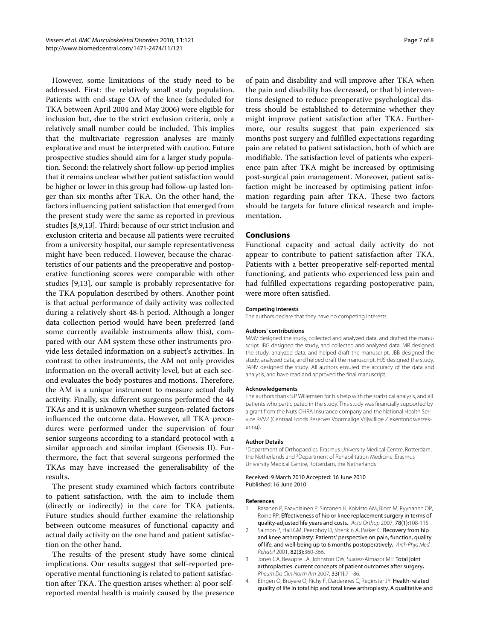However, some limitations of the study need to be addressed. First: the relatively small study population. Patients with end-stage OA of the knee (scheduled for TKA between April 2004 and May 2006) were eligible for inclusion but, due to the strict exclusion criteria, only a relatively small number could be included. This implies that the multivariate regression analyses are mainly explorative and must be interpreted with caution. Future prospective studies should aim for a larger study population. Second: the relatively short follow-up period implies that it remains unclear whether patient satisfaction would be higher or lower in this group had follow-up lasted longer than six months after TKA. On the other hand, the factors influencing patient satisfaction that emerged from the present study were the same as reported in previous studies [[8,](#page-7-3)[9,](#page-7-5)[13\]](#page-7-4). Third: because of our strict inclusion and exclusion criteria and because all patients were recruited from a university hospital, our sample representativeness might have been reduced. However, because the characteristics of our patients and the preoperative and postoperative functioning scores were comparable with other studies [[9,](#page-7-5)[13\]](#page-7-4), our sample is probably representative for the TKA population described by others. Another point is that actual performance of daily activity was collected during a relatively short 48-h period. Although a longer data collection period would have been preferred (and some currently available instruments allow this), compared with our AM system these other instruments provide less detailed information on a subject's activities. In contrast to other instruments, the AM not only provides information on the overall activity level, but at each second evaluates the body postures and motions. Therefore, the AM is a unique instrument to measure actual daily activity. Finally, six different surgeons performed the 44 TKAs and it is unknown whether surgeon-related factors influenced the outcome data. However, all TKA procedures were performed under the supervision of four senior surgeons according to a standard protocol with a similar approach and similar implant (Genesis II). Furthermore, the fact that several surgeons performed the TKAs may have increased the generalisability of the results.

The present study examined which factors contribute to patient satisfaction, with the aim to include them (directly or indirectly) in the care for TKA patients. Future studies should further examine the relationship between outcome measures of functional capacity and actual daily activity on the one hand and patient satisfaction on the other hand.

The results of the present study have some clinical implications. Our results suggest that self-reported preoperative mental functioning is related to patient satisfaction after TKA. The question arises whether: a) poor selfreported mental health is mainly caused by the presence

of pain and disability and will improve after TKA when the pain and disability has decreased, or that b) interventions designed to reduce preoperative psychological distress should be established to determine whether they might improve patient satisfaction after TKA. Furthermore, our results suggest that pain experienced six months post surgery and fulfilled expectations regarding pain are related to patient satisfaction, both of which are modifiable. The satisfaction level of patients who experience pain after TKA might be increased by optimising post-surgical pain management. Moreover, patient satisfaction might be increased by optimising patient information regarding pain after TKA. These two factors should be targets for future clinical research and implementation.

#### **Conclusions**

Functional capacity and actual daily activity do not appear to contribute to patient satisfaction after TKA. Patients with a better preoperative self-reported mental functioning, and patients who experienced less pain and had fulfilled expectations regarding postoperative pain, were more often satisfied.

#### **Competing interests**

The authors declare that they have no competing interests.

#### **Authors' contributions**

MMV designed the study, collected and analyzed data, and drafted the manuscript. IBG designed the study, and collected and analyzed data. MR designed the study, analyzed data, and helped draft the manuscript. JBB designed the study, analyzed data, and helped draft the manuscript. HJS designed the study. JANV designed the study. All authors ensured the accuracy of the data and analysis, and have read and approved the final manuscript.

#### **Acknowledgements**

The authors thank S.P Willemsen for his help with the statistical analysis, and all patients who participated in the study. This study was financially supported by a grant from the Nuts OHRA Insurance company and the National Health Service RVVZ (Centraal Fonds Reserves Voormalige Vrijwillige Ziekenfondsverzekering).

#### **Author Details**

1Department of Orthopaedics, Erasmus University Medical Centre, Rotterdam, the Netherlands and 2Department of Rehabilitation Medicine, Erasmus University Medical Centre, Rotterdam, the Netherlands

Received: 9 March 2010 Accepted: 16 June 2010 Published: 16 June 2010

#### **References**

- <span id="page-6-0"></span>1. Rasanen P, Paavolainen P, Sintonen H, Koivisto AM, Blom M, Ryynanen OP, Roine RP: Effectiveness of hip or knee replacement surgery in terms of quality-adjusted life years and costs**[.](http://www.ncbi.nlm.nih.gov/entrez/query.fcgi?cmd=Retrieve&db=PubMed&dopt=Abstract&list_uids=17453401)** Acta Orthop 2007, 78(1):108-115.
- <span id="page-6-1"></span>2. Salmon P, Hall GM, Peerbhoy D, Shenkin A, Parker C: Recovery from hip and knee arthroplasty: Patients' perspective on pain, function, quality of life, and well-being up to 6 months postoperatively**.** Arch Phys Med Rehabil 2001, 82(3):360-366.
- <span id="page-6-3"></span>3. Jones CA, Beaupre LA, Johnston DW, Suarez-Almazor ME: Total joint arthroplasties: current concepts of patient outcomes after surgery**.** Rheum Dis Clin North Am 2007, 33(1):71-86.
- <span id="page-6-2"></span>4. Ethgen O, Bruyere O, Richy F, Dardennes C, Reginster JY: Health-related quality of life in total hip and total knee arthroplasty. A qualitative and